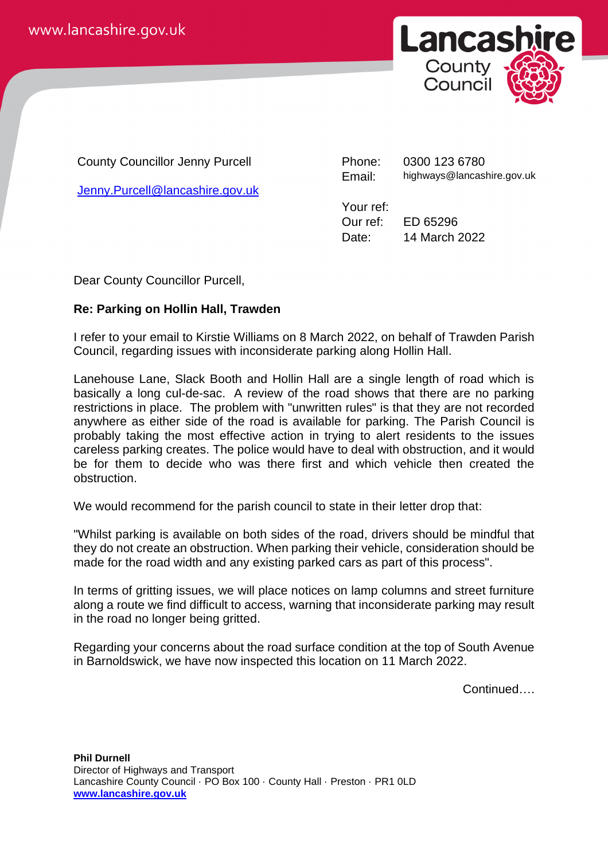

County Councillor Jenny Purcell

[Jenny.Purcell@lancashire.gov.uk](mailto:Jenny.Purcell@lancashire.gov.uk)

Phone: 0300 123 6780 Email: highways@lancashire.gov.uk

Your ref:

Our ref: ED 65296 Date: 14 March 2022

Dear County Councillor Purcell,

## **Re: Parking on Hollin Hall, Trawden**

I refer to your email to Kirstie Williams on 8 March 2022, on behalf of Trawden Parish Council, regarding issues with inconsiderate parking along Hollin Hall.

Lanehouse Lane, Slack Booth and Hollin Hall are a single length of road which is basically a long cul-de-sac. A review of the road shows that there are no parking restrictions in place. The problem with "unwritten rules" is that they are not recorded anywhere as either side of the road is available for parking. The Parish Council is probably taking the most effective action in trying to alert residents to the issues careless parking creates. The police would have to deal with obstruction, and it would be for them to decide who was there first and which vehicle then created the obstruction.

We would recommend for the parish council to state in their letter drop that:

"Whilst parking is available on both sides of the road, drivers should be mindful that they do not create an obstruction. When parking their vehicle, consideration should be made for the road width and any existing parked cars as part of this process".

In terms of gritting issues, we will place notices on lamp columns and street furniture along a route we find difficult to access, warning that inconsiderate parking may result in the road no longer being gritted.

Regarding your concerns about the road surface condition at the top of South Avenue in Barnoldswick, we have now inspected this location on 11 March 2022.

Continued….